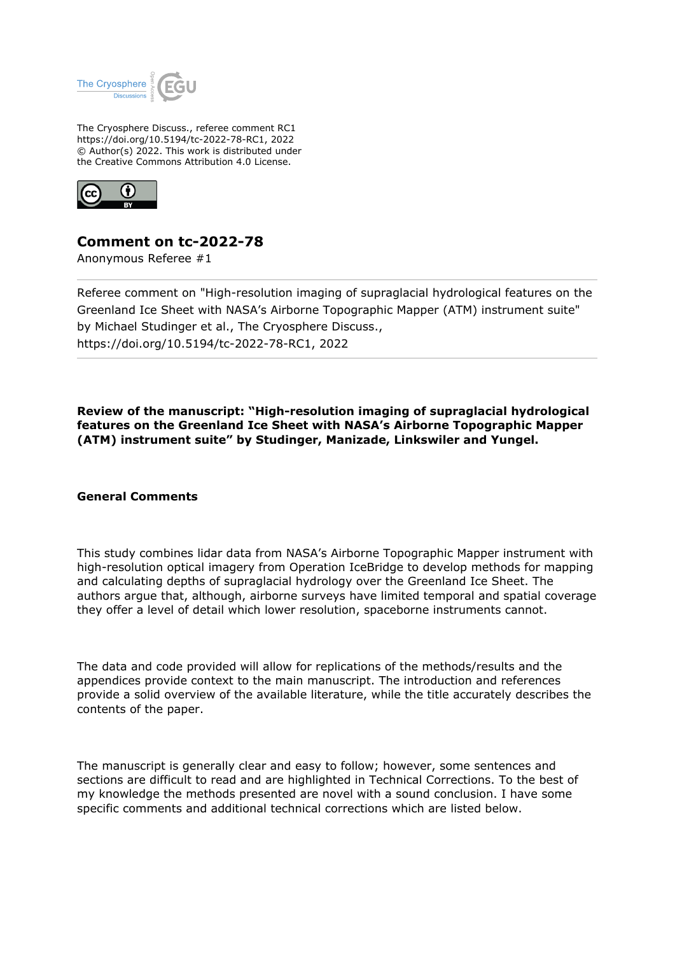

The Cryosphere Discuss., referee comment RC1 https://doi.org/10.5194/tc-2022-78-RC1, 2022 © Author(s) 2022. This work is distributed under the Creative Commons Attribution 4.0 License.



## **Comment on tc-2022-78**

Anonymous Referee #1

Referee comment on "High-resolution imaging of supraglacial hydrological features on the Greenland Ice Sheet with NASA's Airborne Topographic Mapper (ATM) instrument suite" by Michael Studinger et al., The Cryosphere Discuss., https://doi.org/10.5194/tc-2022-78-RC1, 2022

**Review of the manuscript: "High-resolution imaging of supraglacial hydrological features on the Greenland Ice Sheet with NASA's Airborne Topographic Mapper (ATM) instrument suite" by Studinger, Manizade, Linkswiler and Yungel.**

## **General Comments**

This study combines lidar data from NASA's Airborne Topographic Mapper instrument with high-resolution optical imagery from Operation IceBridge to develop methods for mapping and calculating depths of supraglacial hydrology over the Greenland Ice Sheet. The authors argue that, although, airborne surveys have limited temporal and spatial coverage they offer a level of detail which lower resolution, spaceborne instruments cannot.

The data and code provided will allow for replications of the methods/results and the appendices provide context to the main manuscript. The introduction and references provide a solid overview of the available literature, while the title accurately describes the contents of the paper.

The manuscript is generally clear and easy to follow; however, some sentences and sections are difficult to read and are highlighted in Technical Corrections. To the best of my knowledge the methods presented are novel with a sound conclusion. I have some specific comments and additional technical corrections which are listed below.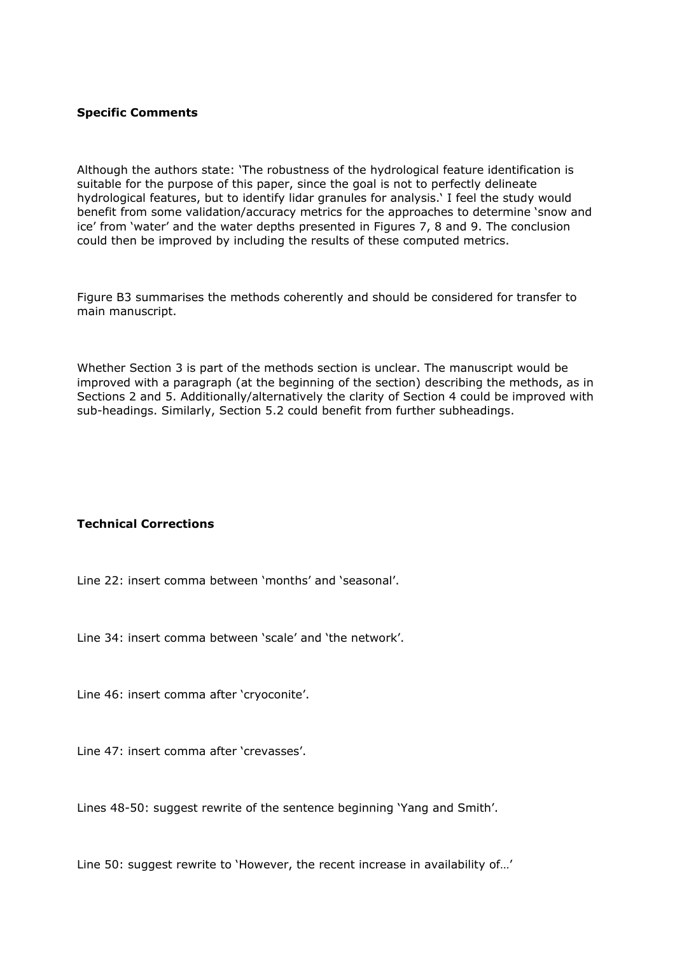## **Specific Comments**

Although the authors state: 'The robustness of the hydrological feature identification is suitable for the purpose of this paper, since the goal is not to perfectly delineate hydrological features, but to identify lidar granules for analysis.' I feel the study would benefit from some validation/accuracy metrics for the approaches to determine 'snow and ice' from 'water' and the water depths presented in Figures 7, 8 and 9. The conclusion could then be improved by including the results of these computed metrics.

Figure B3 summarises the methods coherently and should be considered for transfer to main manuscript.

Whether Section 3 is part of the methods section is unclear. The manuscript would be improved with a paragraph (at the beginning of the section) describing the methods, as in Sections 2 and 5. Additionally/alternatively the clarity of Section 4 could be improved with sub-headings. Similarly, Section 5.2 could benefit from further subheadings.

## **Technical Corrections**

Line 22: insert comma between 'months' and 'seasonal'.

Line 34: insert comma between 'scale' and 'the network'.

Line 46: insert comma after 'cryoconite'.

Line 47: insert comma after 'crevasses'.

Lines 48-50: suggest rewrite of the sentence beginning 'Yang and Smith'.

Line 50: suggest rewrite to 'However, the recent increase in availability of…'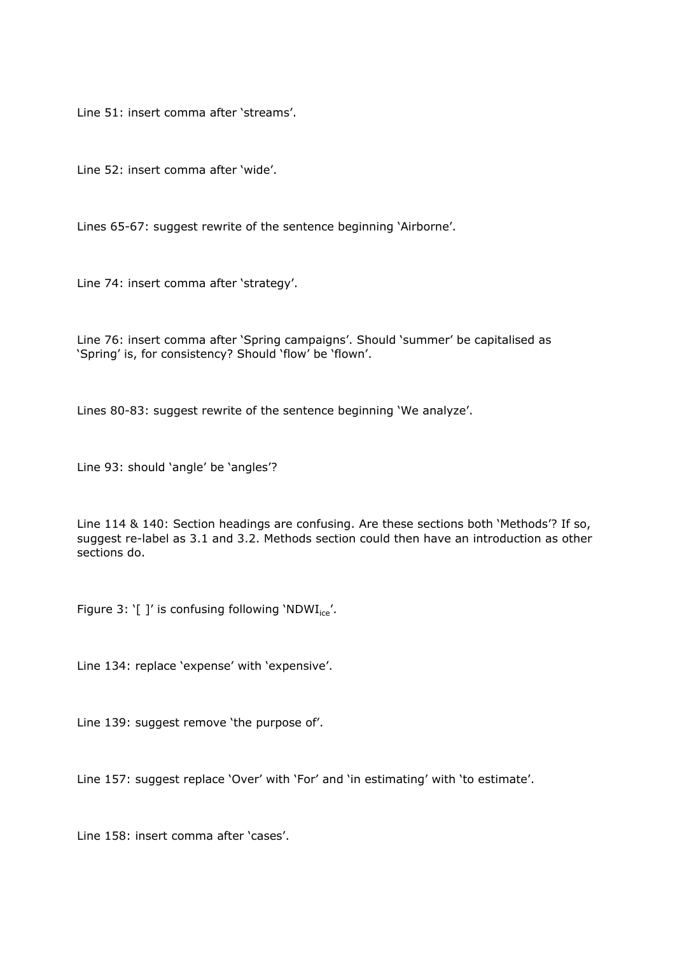Line 51: insert comma after 'streams'.

Line 52: insert comma after 'wide'.

Lines 65-67: suggest rewrite of the sentence beginning 'Airborne'.

Line 74: insert comma after 'strategy'.

Line 76: insert comma after 'Spring campaigns'. Should 'summer' be capitalised as 'Spring' is, for consistency? Should 'flow' be 'flown'.

Lines 80-83: suggest rewrite of the sentence beginning 'We analyze'.

Line 93: should 'angle' be 'angles'?

Line 114 & 140: Section headings are confusing. Are these sections both 'Methods'? If so, suggest re-label as 3.1 and 3.2. Methods section could then have an introduction as other sections do.

Figure 3: '[ ]' is confusing following 'NDW $I_{ice}$ '.

Line 134: replace 'expense' with 'expensive'.

Line 139: suggest remove 'the purpose of'.

Line 157: suggest replace 'Over' with 'For' and 'in estimating' with 'to estimate'.

Line 158: insert comma after 'cases'.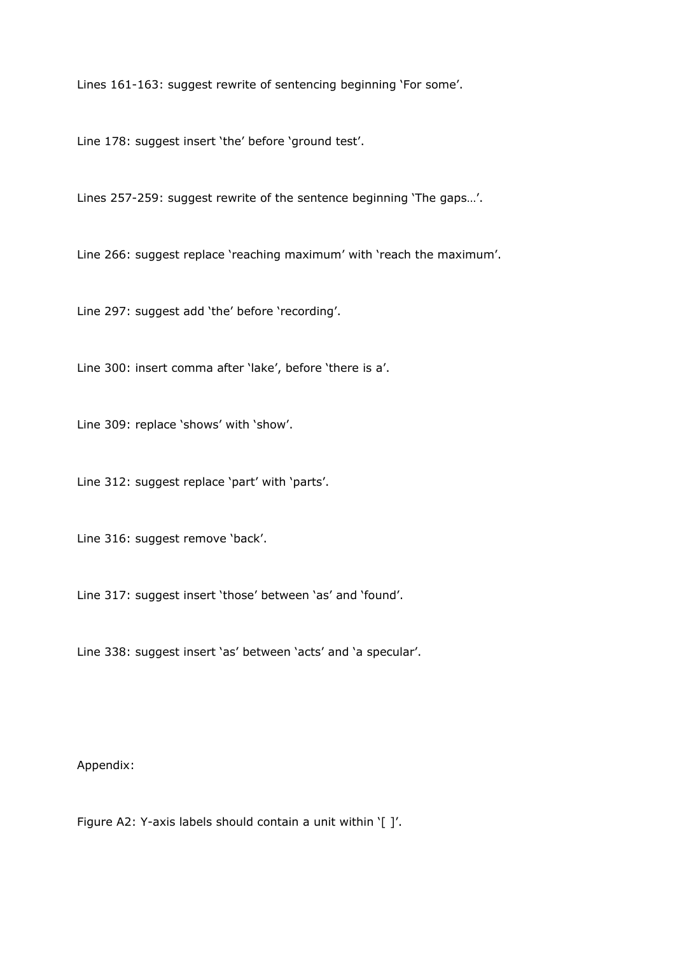Lines 161-163: suggest rewrite of sentencing beginning 'For some'.

Line 178: suggest insert 'the' before 'ground test'.

Lines 257-259: suggest rewrite of the sentence beginning 'The gaps…'.

Line 266: suggest replace 'reaching maximum' with 'reach the maximum'.

Line 297: suggest add 'the' before 'recording'.

Line 300: insert comma after 'lake', before 'there is a'.

Line 309: replace 'shows' with 'show'.

Line 312: suggest replace 'part' with 'parts'.

Line 316: suggest remove 'back'.

Line 317: suggest insert 'those' between 'as' and 'found'.

Line 338: suggest insert 'as' between 'acts' and 'a specular'.

Appendix:

Figure A2: Y-axis labels should contain a unit within '[ ]'.